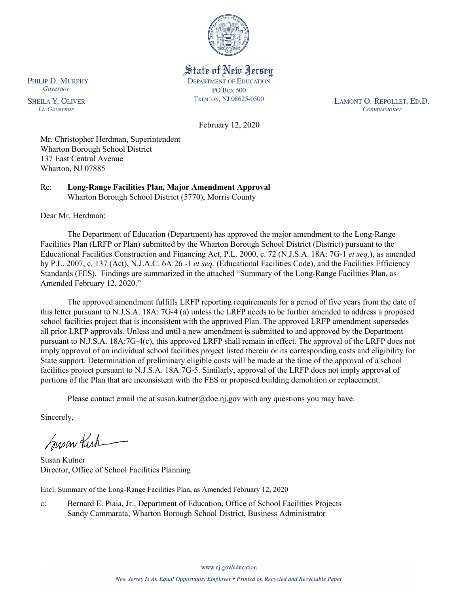

State of New Jersey **DEPARTMENT OF EDUCATION PO Box 500** TRENTON, NJ 08625-0500

LAMONT O. REPOLLET, ED.D. Commissioner

February 12, 2020

Mr. Christopher Herdman, Superintendent Wharton Borough School District 137 East Central Avenue Wharton, NJ 07885

Re: **Long-Range Facilities Plan, Major Amendment Approval** Wharton Borough School District (5770), Morris County

Dear Mr. Herdman:

The Department of Education (Department) has approved the major amendment to the Long-Range Facilities Plan (LRFP or Plan) submitted by the Wharton Borough School District (District) pursuant to the Educational Facilities Construction and Financing Act, P.L. 2000, c. 72 (N.J.S.A. 18A: 7G-1 *et seq.*), as amended by P.L. 2007, c. 137 (Act), N.J.A.C. 6A:26 -1 *et seq.* (Educational Facilities Code), and the Facilities Efficiency Standards (FES). Findings are summarized in the attached "Summary of the Long-Range Facilities Plan, as Amended February 12, 2020."

The approved amendment fulfills LRFP reporting requirements for a period of five years from the date of this letter pursuant to N.J.S.A. 18A: 7G-4 (a) unless the LRFP needs to be further amended to address a proposed school facilities project that is inconsistent with the approved Plan. The approved LRFP amendment supersedes all prior LRFP approvals. Unless and until a new amendment is submitted to and approved by the Department pursuant to N.J.S.A. 18A:7G-4(c), this approved LRFP shall remain in effect. The approval of the LRFP does not imply approval of an individual school facilities project listed therein or its corresponding costs and eligibility for State support. Determination of preliminary eligible costs will be made at the time of the approval of a school facilities project pursuant to N.J.S.A. 18A:7G-5. Similarly, approval of the LRFP does not imply approval of portions of the Plan that are inconsistent with the FES or proposed building demolition or replacement.

Please contact email me at susan.kutner@doe.nj.gov with any questions you may have.

Sincerely,

Susan Kich

Susan Kutner Director, Office of School Facilities Planning

Encl. Summary of the Long-Range Facilities Plan, as Amended February 12, 2020

c: Bernard E. Piaia, Jr., Department of Education, Office of School Facilities Projects Sandy Cammarata, Wharton Borough School District, Business Administrator

PHILIP D. MURPHY Governor

**SHEILA Y. OLIVER** Lt. Governor

www.nj.gov/education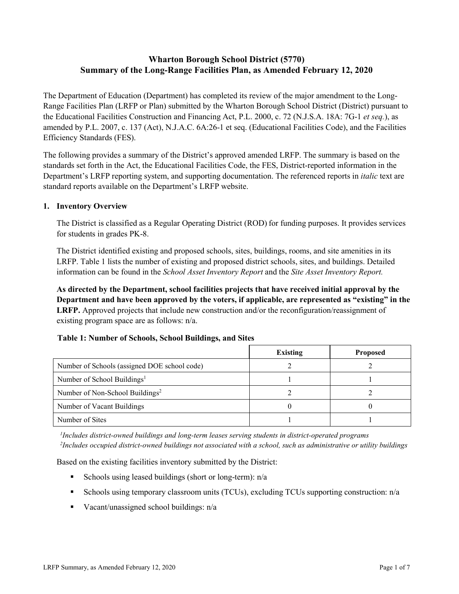# **Wharton Borough School District (5770) Summary of the Long-Range Facilities Plan, as Amended February 12, 2020**

The Department of Education (Department) has completed its review of the major amendment to the Long-Range Facilities Plan (LRFP or Plan) submitted by the Wharton Borough School District (District) pursuant to the Educational Facilities Construction and Financing Act, P.L. 2000, c. 72 (N.J.S.A. 18A: 7G-1 *et seq.*), as amended by P.L. 2007, c. 137 (Act), N.J.A.C. 6A:26-1 et seq. (Educational Facilities Code), and the Facilities Efficiency Standards (FES).

The following provides a summary of the District's approved amended LRFP. The summary is based on the standards set forth in the Act, the Educational Facilities Code, the FES, District-reported information in the Department's LRFP reporting system, and supporting documentation. The referenced reports in *italic* text are standard reports available on the Department's LRFP website.

### **1. Inventory Overview**

The District is classified as a Regular Operating District (ROD) for funding purposes. It provides services for students in grades PK-8.

The District identified existing and proposed schools, sites, buildings, rooms, and site amenities in its LRFP. Table 1 lists the number of existing and proposed district schools, sites, and buildings. Detailed information can be found in the *School Asset Inventory Report* and the *Site Asset Inventory Report.*

**As directed by the Department, school facilities projects that have received initial approval by the Department and have been approved by the voters, if applicable, are represented as "existing" in the LRFP.** Approved projects that include new construction and/or the reconfiguration/reassignment of existing program space are as follows: n/a.

|  |  | Table 1: Number of Schools, School Buildings, and Sites |  |
|--|--|---------------------------------------------------------|--|
|--|--|---------------------------------------------------------|--|

|                                              | <b>Existing</b> | <b>Proposed</b> |
|----------------------------------------------|-----------------|-----------------|
| Number of Schools (assigned DOE school code) |                 |                 |
| Number of School Buildings <sup>1</sup>      |                 |                 |
| Number of Non-School Buildings <sup>2</sup>  |                 |                 |
| Number of Vacant Buildings                   |                 |                 |
| Number of Sites                              |                 |                 |

*1 Includes district-owned buildings and long-term leases serving students in district-operated programs 2 Includes occupied district-owned buildings not associated with a school, such as administrative or utility buildings*

Based on the existing facilities inventory submitted by the District:

- Schools using leased buildings (short or long-term):  $n/a$
- Schools using temporary classroom units (TCUs), excluding TCUs supporting construction: n/a
- Vacant/unassigned school buildings:  $n/a$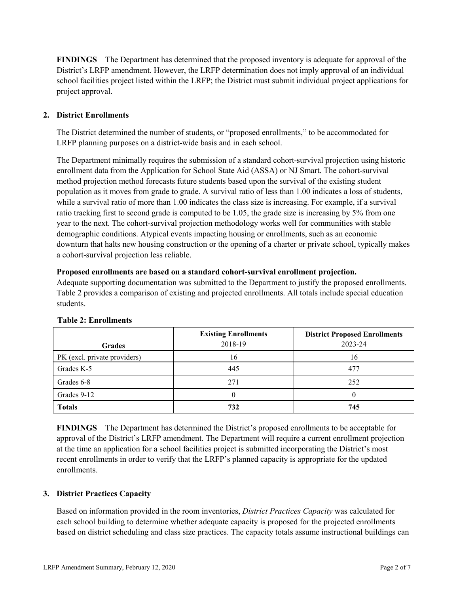**FINDINGS** The Department has determined that the proposed inventory is adequate for approval of the District's LRFP amendment. However, the LRFP determination does not imply approval of an individual school facilities project listed within the LRFP; the District must submit individual project applications for project approval.

# **2. District Enrollments**

The District determined the number of students, or "proposed enrollments," to be accommodated for LRFP planning purposes on a district-wide basis and in each school.

The Department minimally requires the submission of a standard cohort-survival projection using historic enrollment data from the Application for School State Aid (ASSA) or NJ Smart. The cohort-survival method projection method forecasts future students based upon the survival of the existing student population as it moves from grade to grade. A survival ratio of less than 1.00 indicates a loss of students, while a survival ratio of more than 1.00 indicates the class size is increasing. For example, if a survival ratio tracking first to second grade is computed to be 1.05, the grade size is increasing by 5% from one year to the next. The cohort-survival projection methodology works well for communities with stable demographic conditions. Atypical events impacting housing or enrollments, such as an economic downturn that halts new housing construction or the opening of a charter or private school, typically makes a cohort-survival projection less reliable.

### **Proposed enrollments are based on a standard cohort-survival enrollment projection.**

Adequate supporting documentation was submitted to the Department to justify the proposed enrollments. Table 2 provides a comparison of existing and projected enrollments. All totals include special education students.

|                              | <b>Existing Enrollments</b><br>2018-19 | <b>District Proposed Enrollments</b><br>2023-24 |
|------------------------------|----------------------------------------|-------------------------------------------------|
| <b>Grades</b>                |                                        |                                                 |
| PK (excl. private providers) | 16                                     | 16                                              |
| Grades K-5                   | 445                                    | 477                                             |
| Grades 6-8                   | 271                                    | 252                                             |
| Grades 9-12                  |                                        |                                                 |
| <b>Totals</b>                | 732                                    | 745                                             |

### **Table 2: Enrollments**

**FINDINGS** The Department has determined the District's proposed enrollments to be acceptable for approval of the District's LRFP amendment. The Department will require a current enrollment projection at the time an application for a school facilities project is submitted incorporating the District's most recent enrollments in order to verify that the LRFP's planned capacity is appropriate for the updated enrollments.

# **3. District Practices Capacity**

Based on information provided in the room inventories, *District Practices Capacity* was calculated for each school building to determine whether adequate capacity is proposed for the projected enrollments based on district scheduling and class size practices. The capacity totals assume instructional buildings can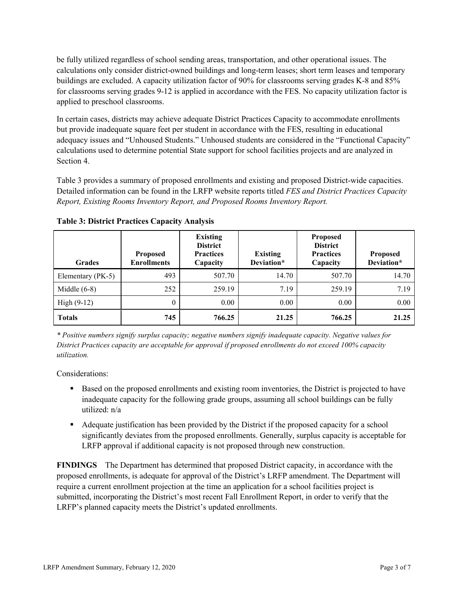be fully utilized regardless of school sending areas, transportation, and other operational issues. The calculations only consider district-owned buildings and long-term leases; short term leases and temporary buildings are excluded. A capacity utilization factor of 90% for classrooms serving grades K-8 and 85% for classrooms serving grades 9-12 is applied in accordance with the FES. No capacity utilization factor is applied to preschool classrooms.

In certain cases, districts may achieve adequate District Practices Capacity to accommodate enrollments but provide inadequate square feet per student in accordance with the FES, resulting in educational adequacy issues and "Unhoused Students." Unhoused students are considered in the "Functional Capacity" calculations used to determine potential State support for school facilities projects and are analyzed in Section 4.

Table 3 provides a summary of proposed enrollments and existing and proposed District-wide capacities. Detailed information can be found in the LRFP website reports titled *FES and District Practices Capacity Report, Existing Rooms Inventory Report, and Proposed Rooms Inventory Report.*

| <b>Grades</b>     | <b>Proposed</b><br><b>Enrollments</b> | <b>Existing</b><br><b>District</b><br><b>Practices</b><br>Capacity | <b>Existing</b><br>Deviation* | <b>Proposed</b><br><b>District</b><br><b>Practices</b><br>Capacity | <b>Proposed</b><br>Deviation* |
|-------------------|---------------------------------------|--------------------------------------------------------------------|-------------------------------|--------------------------------------------------------------------|-------------------------------|
| Elementary (PK-5) | 493                                   | 507.70                                                             | 14.70                         | 507.70                                                             | 14.70                         |
| Middle $(6-8)$    | 252                                   | 259.19                                                             | 7.19                          | 259.19                                                             | 7.19                          |
| High $(9-12)$     | $\theta$                              | 0.00                                                               | 0.00                          | 0.00                                                               | 0.00                          |
| <b>Totals</b>     | 745                                   | 766.25                                                             | 21.25                         | 766.25                                                             | 21.25                         |

**Table 3: District Practices Capacity Analysis**

*\* Positive numbers signify surplus capacity; negative numbers signify inadequate capacity. Negative values for District Practices capacity are acceptable for approval if proposed enrollments do not exceed 100% capacity utilization.*

Considerations:

- **Based on the proposed enrollments and existing room inventories, the District is projected to have** inadequate capacity for the following grade groups, assuming all school buildings can be fully utilized: n/a
- Adequate justification has been provided by the District if the proposed capacity for a school significantly deviates from the proposed enrollments. Generally, surplus capacity is acceptable for LRFP approval if additional capacity is not proposed through new construction.

**FINDINGS**The Department has determined that proposed District capacity, in accordance with the proposed enrollments, is adequate for approval of the District's LRFP amendment. The Department will require a current enrollment projection at the time an application for a school facilities project is submitted, incorporating the District's most recent Fall Enrollment Report, in order to verify that the LRFP's planned capacity meets the District's updated enrollments.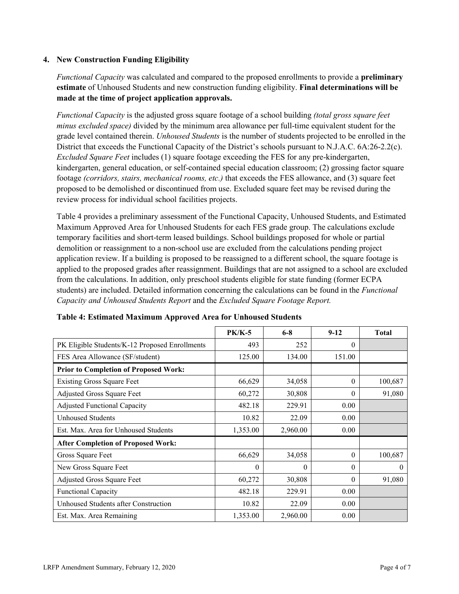### **4. New Construction Funding Eligibility**

*Functional Capacity* was calculated and compared to the proposed enrollments to provide a **preliminary estimate** of Unhoused Students and new construction funding eligibility. **Final determinations will be made at the time of project application approvals.**

*Functional Capacity* is the adjusted gross square footage of a school building *(total gross square feet minus excluded space)* divided by the minimum area allowance per full-time equivalent student for the grade level contained therein. *Unhoused Students* is the number of students projected to be enrolled in the District that exceeds the Functional Capacity of the District's schools pursuant to N.J.A.C. 6A:26-2.2(c). *Excluded Square Feet* includes (1) square footage exceeding the FES for any pre-kindergarten, kindergarten, general education, or self-contained special education classroom; (2) grossing factor square footage *(corridors, stairs, mechanical rooms, etc.)* that exceeds the FES allowance, and (3) square feet proposed to be demolished or discontinued from use. Excluded square feet may be revised during the review process for individual school facilities projects.

Table 4 provides a preliminary assessment of the Functional Capacity, Unhoused Students, and Estimated Maximum Approved Area for Unhoused Students for each FES grade group. The calculations exclude temporary facilities and short-term leased buildings. School buildings proposed for whole or partial demolition or reassignment to a non-school use are excluded from the calculations pending project application review. If a building is proposed to be reassigned to a different school, the square footage is applied to the proposed grades after reassignment. Buildings that are not assigned to a school are excluded from the calculations. In addition, only preschool students eligible for state funding (former ECPA students) are included. Detailed information concerning the calculations can be found in the *Functional Capacity and Unhoused Students Report* and the *Excluded Square Footage Report.*

|                                                | <b>PK/K-5</b> | $6 - 8$  | $9 - 12$ | <b>Total</b> |
|------------------------------------------------|---------------|----------|----------|--------------|
| PK Eligible Students/K-12 Proposed Enrollments | 493           | 252      | $\theta$ |              |
| FES Area Allowance (SF/student)                | 125.00        | 134.00   | 151.00   |              |
| <b>Prior to Completion of Proposed Work:</b>   |               |          |          |              |
| <b>Existing Gross Square Feet</b>              | 66,629        | 34,058   | $\theta$ | 100,687      |
| Adjusted Gross Square Feet                     | 60,272        | 30,808   | $\theta$ | 91,080       |
| <b>Adjusted Functional Capacity</b>            | 482.18        | 229.91   | 0.00     |              |
| <b>Unhoused Students</b>                       | 10.82         | 22.09    | 0.00     |              |
| Est. Max. Area for Unhoused Students           | 1,353.00      | 2,960.00 | 0.00     |              |
| <b>After Completion of Proposed Work:</b>      |               |          |          |              |
| Gross Square Feet                              | 66,629        | 34,058   | $\theta$ | 100,687      |
| New Gross Square Feet                          | $\theta$      | $\theta$ | $\Omega$ | $\theta$     |
| Adjusted Gross Square Feet                     | 60,272        | 30,808   | $\Omega$ | 91,080       |
| <b>Functional Capacity</b>                     | 482.18        | 229.91   | 0.00     |              |
| Unhoused Students after Construction           | 10.82         | 22.09    | 0.00     |              |
| Est. Max. Area Remaining                       | 1,353.00      | 2,960.00 | 0.00     |              |

### **Table 4: Estimated Maximum Approved Area for Unhoused Students**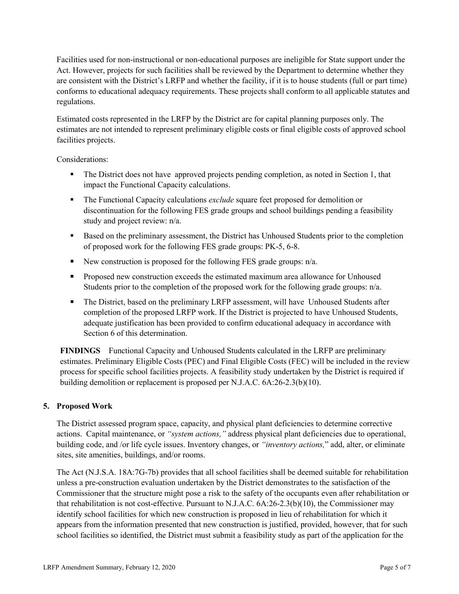Facilities used for non-instructional or non-educational purposes are ineligible for State support under the Act. However, projects for such facilities shall be reviewed by the Department to determine whether they are consistent with the District's LRFP and whether the facility, if it is to house students (full or part time) conforms to educational adequacy requirements. These projects shall conform to all applicable statutes and regulations.

Estimated costs represented in the LRFP by the District are for capital planning purposes only. The estimates are not intended to represent preliminary eligible costs or final eligible costs of approved school facilities projects.

Considerations:

- The District does not have approved projects pending completion, as noted in Section 1, that impact the Functional Capacity calculations.
- The Functional Capacity calculations *exclude* square feet proposed for demolition or discontinuation for the following FES grade groups and school buildings pending a feasibility study and project review: n/a.
- Based on the preliminary assessment, the District has Unhoused Students prior to the completion of proposed work for the following FES grade groups: PK-5, 6-8.
- New construction is proposed for the following FES grade groups:  $n/a$ .
- **Proposed new construction exceeds the estimated maximum area allowance for Unhoused** Students prior to the completion of the proposed work for the following grade groups:  $n/a$ .
- The District, based on the preliminary LRFP assessment, will have Unhoused Students after completion of the proposed LRFP work. If the District is projected to have Unhoused Students, adequate justification has been provided to confirm educational adequacy in accordance with Section 6 of this determination.

**FINDINGS** Functional Capacity and Unhoused Students calculated in the LRFP are preliminary estimates. Preliminary Eligible Costs (PEC) and Final Eligible Costs (FEC) will be included in the review process for specific school facilities projects. A feasibility study undertaken by the District is required if building demolition or replacement is proposed per N.J.A.C. 6A:26-2.3(b)(10).

# **5. Proposed Work**

The District assessed program space, capacity, and physical plant deficiencies to determine corrective actions. Capital maintenance, or *"system actions,"* address physical plant deficiencies due to operational, building code, and /or life cycle issues. Inventory changes, or *"inventory actions,*" add, alter, or eliminate sites, site amenities, buildings, and/or rooms.

The Act (N.J.S.A. 18A:7G-7b) provides that all school facilities shall be deemed suitable for rehabilitation unless a pre-construction evaluation undertaken by the District demonstrates to the satisfaction of the Commissioner that the structure might pose a risk to the safety of the occupants even after rehabilitation or that rehabilitation is not cost-effective. Pursuant to N.J.A.C. 6A:26-2.3(b)(10), the Commissioner may identify school facilities for which new construction is proposed in lieu of rehabilitation for which it appears from the information presented that new construction is justified, provided, however, that for such school facilities so identified, the District must submit a feasibility study as part of the application for the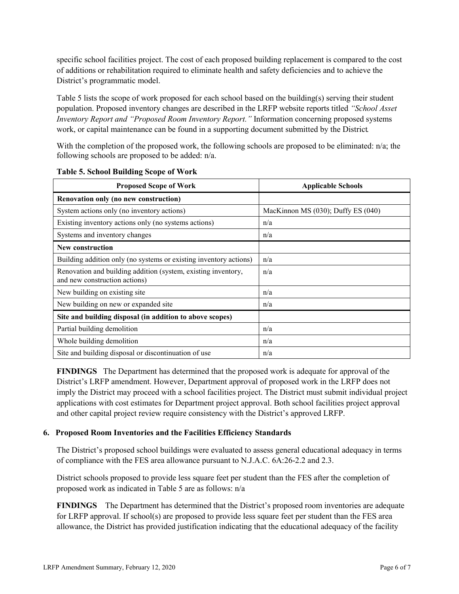specific school facilities project. The cost of each proposed building replacement is compared to the cost of additions or rehabilitation required to eliminate health and safety deficiencies and to achieve the District's programmatic model.

Table 5 lists the scope of work proposed for each school based on the building(s) serving their student population. Proposed inventory changes are described in the LRFP website reports titled *"School Asset Inventory Report and "Proposed Room Inventory Report."* Information concerning proposed systems work, or capital maintenance can be found in a supporting document submitted by the District.

With the completion of the proposed work, the following schools are proposed to be eliminated: n/a; the following schools are proposed to be added: n/a.

| <b>Proposed Scope of Work</b>                                                                  | <b>Applicable Schools</b>          |  |  |
|------------------------------------------------------------------------------------------------|------------------------------------|--|--|
| Renovation only (no new construction)                                                          |                                    |  |  |
| System actions only (no inventory actions)                                                     | MacKinnon MS (030); Duffy ES (040) |  |  |
| Existing inventory actions only (no systems actions)                                           | n/a                                |  |  |
| Systems and inventory changes                                                                  | n/a                                |  |  |
| <b>New construction</b>                                                                        |                                    |  |  |
| Building addition only (no systems or existing inventory actions)                              | n/a                                |  |  |
| Renovation and building addition (system, existing inventory,<br>and new construction actions) | n/a                                |  |  |
| New building on existing site                                                                  | n/a                                |  |  |
| New building on new or expanded site                                                           | n/a                                |  |  |
| Site and building disposal (in addition to above scopes)                                       |                                    |  |  |
| Partial building demolition                                                                    | n/a                                |  |  |
| Whole building demolition                                                                      | n/a                                |  |  |
| Site and building disposal or discontinuation of use                                           | n/a                                |  |  |

**Table 5. School Building Scope of Work**

**FINDINGS** The Department has determined that the proposed work is adequate for approval of the District's LRFP amendment. However, Department approval of proposed work in the LRFP does not imply the District may proceed with a school facilities project. The District must submit individual project applications with cost estimates for Department project approval. Both school facilities project approval and other capital project review require consistency with the District's approved LRFP.

### **6. Proposed Room Inventories and the Facilities Efficiency Standards**

The District's proposed school buildings were evaluated to assess general educational adequacy in terms of compliance with the FES area allowance pursuant to N.J.A.C. 6A:26-2.2 and 2.3.

District schools proposed to provide less square feet per student than the FES after the completion of proposed work as indicated in Table 5 are as follows: n/a

**FINDINGS** The Department has determined that the District's proposed room inventories are adequate for LRFP approval. If school(s) are proposed to provide less square feet per student than the FES area allowance, the District has provided justification indicating that the educational adequacy of the facility